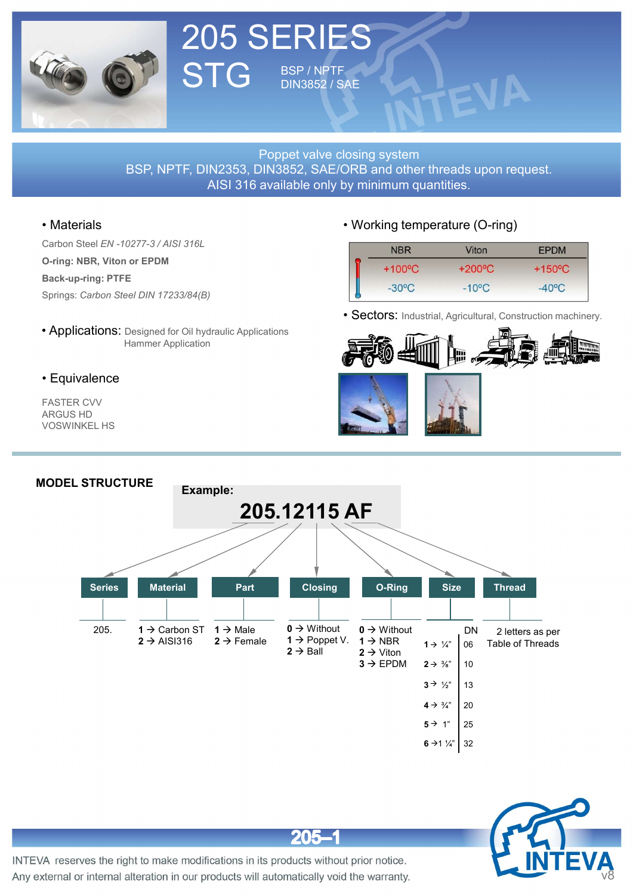

### 205 SERIES STG BSP/NPTF DIN3852 / SAE

**STG** BSP/NPTE<br>
STG BIRSB2/SAE<br>
BSP, NPTF, DIN2353, DIN3852/SAE<br>
Materials<br>
Carbon Steel EN-10277-3/AISI 316.<br>
Carbon Steel EN-10277-3/AISI 316.<br>
Carbon Steel EN-10277-3/AISI 316.<br>
Back-up-ring: PTFE<br>
Springs: Carbon Steel SPRIES<br>
STG BSP/NPTF<br>
Poppet valve closing system<br>
BSP, NPTF, DIN2353, DIN3852/SAE<br>
Poppet valve closing system<br>
AISI 316 available only by minimum quantitie<br>
Carbon Steel EN 10277-3/AISI 316L<br>
Back-up-ring: PTFE<br>
Springs: Proppet valve closing sys<br>
BSP, NPTF, DIN2353, DIN3852, SAE/ORB and<br>
AISI 316 available only by minimu<br>
• Materials<br>
Carbon Steel EN-10277-3/AISI 316L<br>
O-ring: NBR, Viton or EPDM<br>
Back-up-ring: PTFE<br>
Springs: Carbon Steel • Applications: Designed for Oil hydraulic Applications<br>
• Applications: Hammer Application<br>
• Applications: Designed for Oil hydraulic Applications<br>
• Applications: Designed for Oil hydraulic Applications<br>
• Applications: STG BSP/NPTF<br>
Poppet valve closing system<br>
BSP, NPTF, DIN2353, DIN3852, SAE/ORB and other threads upon r<br>
AISI 316 available only by minimum quantities.<br>
OPER DIN 17233/84(B)<br>
E<br>
Designed for Oil hydraulic Applications<br>
Ha BERIES<br>
BSP/NPTF<br>DIN3852/SAE<br>
Poppet valve closing system<br>
DIN3852, SAE/ORB and other threads upon request.<br>
available only by minimum quantities. **BSP, NPTF, DIN2353, DIN3852, SAE**<br>BSP, NPTF, DIN2353, DIN3852, SAE/ORB and other threads upon request.<br>AISI 316 available only by minimum quantities.<br>Working temperature (O-ring) **ART SERIES<br>
TENDINSBEZ / SAE<br>
Poppet valve closing system**<br>
Poppet valve closing system<br>
IN2353, DIN3852, SAE/ORB and other threads upon request.<br>
AISI 316 available only by minimum quantities.<br>
Working temperature (O-rin

Back-up-ring: PTFE

FASTER CVV ARGUS HD VOSWINKEL HS

| <b>AE</b> |                                         |                                     |                  |  |
|-----------|-----------------------------------------|-------------------------------------|------------------|--|
|           | losing system<br>by minimum quantities. | ORB and other threads upon request. |                  |  |
|           |                                         |                                     |                  |  |
|           |                                         | • Working temperature (O-ring)      |                  |  |
|           | <b>NBR</b>                              | Viton                               | <b>EPDM</b>      |  |
|           | $+100^{\circ}C$                         | $+200^{\circ}C$                     | $+150^{\circ}$ C |  |







 $205 - 1$ 



INTEVA reserves the right to make modifications in its products without prior notice. Any external or internal alteration in our products will automatically void the warranty.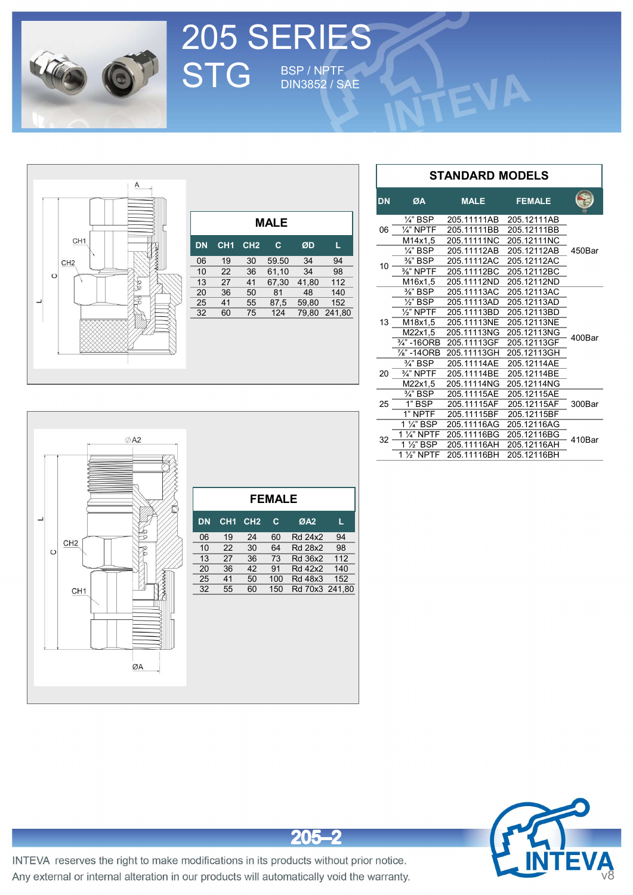

## 205 SERIES STG BSP/NPTF DIN3852 / SAE







INTEVA reserves the right to make modifications in its products without prior notice. Any external or internal alteration in our products will automatically void the warranty.

 $205 - 2$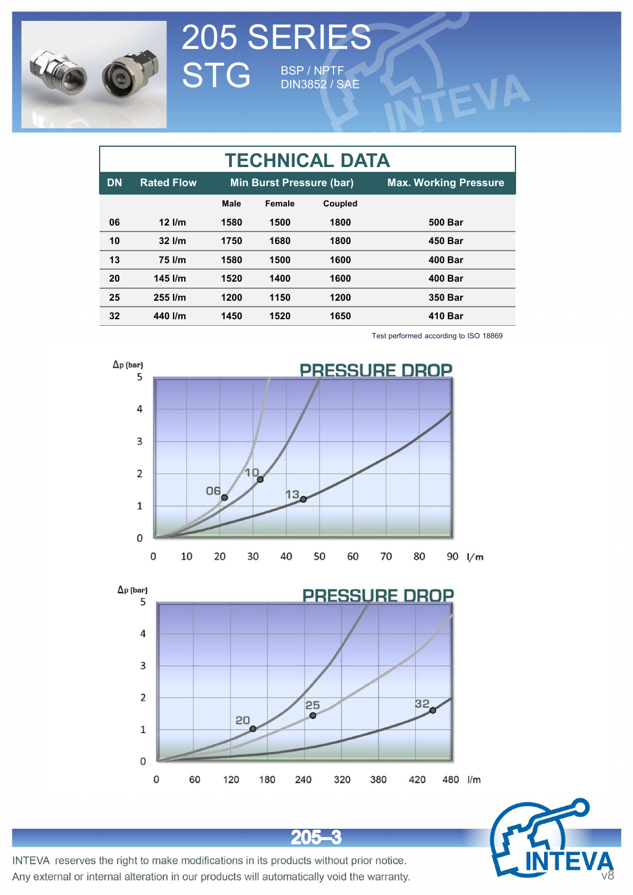

|                  |                   |             |                          | 205 SERIES<br>STG BSP/NPTF |                                       |
|------------------|-------------------|-------------|--------------------------|----------------------------|---------------------------------------|
|                  |                   |             |                          |                            |                                       |
|                  |                   |             |                          | <b>DIN3852 / SAE</b>       |                                       |
|                  |                   |             |                          |                            |                                       |
|                  |                   |             |                          |                            |                                       |
|                  |                   |             |                          | <b>TECHNICAL DATA</b>      |                                       |
| <b>DN</b>        | <b>Rated Flow</b> |             | Min Burst Pressure (bar) |                            | <b>Max. Working Pressure</b>          |
|                  |                   | <b>Male</b> | Female                   | Coupled                    |                                       |
| 06               | $12$ l/m          | 1580        | 1500                     | 1800                       | <b>500 Bar</b>                        |
| 10               | 32 l/m            | 1750        | 1680                     | 1800                       | <b>450 Bar</b>                        |
| 13               | 75 l/m            | 1580        | 1500                     | 1600                       | <b>400 Bar</b>                        |
| 20               | 145 l/m           | 1520        | 1400                     | 1600                       | <b>400 Bar</b>                        |
| 25               | 255 l/m           | 1200        | 1150                     | 1200                       | 350 Bar                               |
| 32               | 440 l/m           | 1450        | 1520                     | 1650                       | <b>410 Bar</b>                        |
|                  |                   |             |                          |                            | Test performed according to ISO 18869 |
| $\Delta p$ (bar) |                   |             |                          |                            |                                       |
|                  | 5                 |             |                          |                            | <b>PRESSURE DROP</b>                  |
|                  |                   |             |                          |                            |                                       |





 $205 - 3$ 



INTEVA reserves the right to make modifications in its products without prior notice. Any external or internal alteration in our products will automatically void the warranty.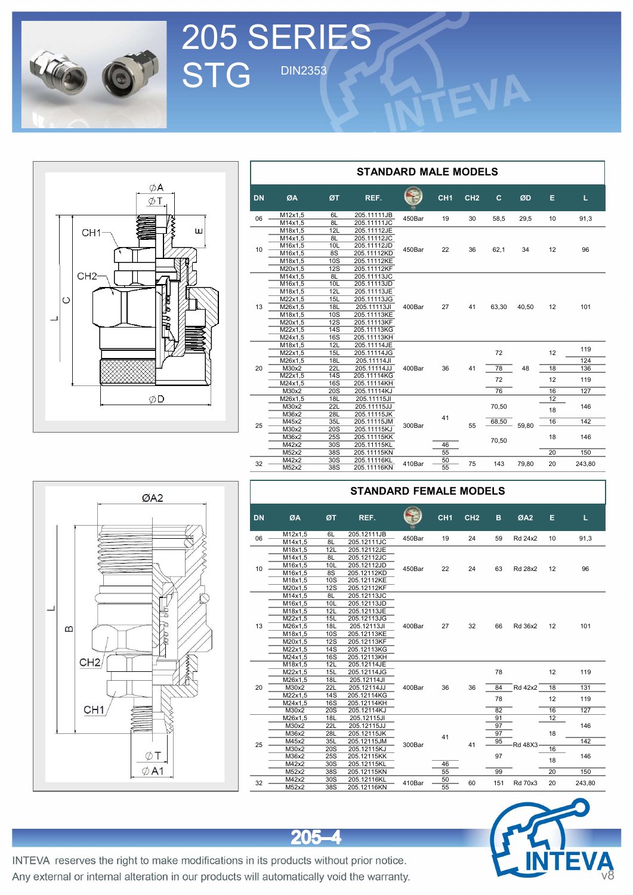

205 SERIES<br>STG DIN2353

# ØA  $\phi$ T Ш CH<sub>1</sub>-CH<sub>2</sub>  $\mid$ o  $\overline{\phantom{0}}$ ØD

|           |         |            | <b>STANDARD MALE MODELS</b> |        |                 |                 |       |       |    |        |
|-----------|---------|------------|-----------------------------|--------|-----------------|-----------------|-------|-------|----|--------|
| <b>DN</b> | ØA      | REF.<br>ØT |                             |        | CH <sub>1</sub> | CH <sub>2</sub> | c     | ØD    | Е  | L.     |
| 06        | M12x1,5 | 6L         | 205.11111JB                 | 450Bar | 19              | 30              | 58,5  | 29,5  | 10 | 91,3   |
|           | M14x1,5 | 8L         | 205.11111JC                 |        |                 |                 |       |       |    |        |
|           | M18x1,5 | 12L        | 205.11112JE                 |        |                 |                 |       |       |    |        |
|           | M14x1,5 | 8L         | 205.11112JC                 |        |                 |                 |       |       |    |        |
| 10        | M16x1,5 | 10L        | 205.11112JD                 | 450Bar | 22              | 36              | 62,1  | 34    | 12 | 96     |
|           | M16x1,5 | 8S         | 205.11112KD                 |        |                 |                 |       |       |    |        |
|           | M18x1,5 | 10S        | 205.11112KE                 |        |                 |                 |       |       |    |        |
|           | M20x1,5 | 12S        | 205.11112KF                 |        |                 |                 |       |       |    |        |
|           | M14x1,5 | 8L         | 205.11113JC                 |        |                 |                 |       |       |    |        |
|           | M16x1,5 | 10L        | 205.11113JD                 |        |                 |                 |       |       |    |        |
|           | M18x1,5 | 12L        | 205.11113JE                 |        |                 |                 |       |       |    |        |
|           | M22x1,5 | 15L        | 205.11113JG                 |        |                 |                 |       |       |    |        |
| 13        | M26x1,5 | 18L        | 205.11113JI                 | 400Bar | 27              | 41              | 63,30 | 40,50 | 12 | 101    |
|           | M18x1,5 | 10S        | 205.11113KE                 |        |                 |                 |       |       |    |        |
|           | M20x1,5 | <b>12S</b> | 205.11113KF                 |        |                 |                 |       |       |    |        |
|           | M22x1,5 | 14S        | 205.11113KG                 |        |                 |                 |       |       |    |        |
|           | M24x1,5 | 16S        | 205.11113KH                 |        |                 |                 |       |       |    |        |
|           | M18x1,5 | 12L        | 205.11114JE                 |        |                 |                 |       |       |    | 119    |
|           | M22x1,5 | 15L        | 205.11114JG                 |        | 36              |                 | 72    |       | 12 |        |
|           | M26x1,5 | 18L        | 205.11114JI                 |        |                 | 41              |       | 48    |    | 124    |
| 20        | M30x2   | 22L        | 205.11114JJ                 | 400Bar |                 |                 | 78    |       | 18 | 136    |
|           | M22x1,5 | 14S        | 205.11114KG                 |        |                 |                 | 72    |       | 12 | 119    |
|           | M24x1,5 | 16S        | 205.11114KH                 |        |                 |                 |       |       |    |        |
|           | M30x2   | 20S        | 205.11114KJ                 |        |                 |                 | 76    |       | 16 | 127    |
|           | M26x1,5 | 18L        | 205.11115JI                 |        |                 |                 |       |       | 12 |        |
|           | M30x2   | 22L        | 205.11115JJ                 |        |                 |                 | 70,50 |       | 18 | 146    |
|           | M36x2   | 28L        | 205.11115JK                 |        |                 |                 |       |       |    |        |
| 25        | M45x2   | 35L        | 205.11115JM                 | 300Bar | 41              | 55              | 68,50 | 59.80 | 16 | 142    |
|           | M30x2   | 20S        | 205.11115KJ                 |        |                 |                 |       |       |    |        |
|           | M36x2   | 25S        | 205.11115KK                 |        |                 |                 |       |       | 18 | 146    |
|           | M42x2   | 30S        | 205.11115KL                 |        | 46              |                 | 70,50 |       |    |        |
|           | M52x2   | 38S        | 205.11115KN                 |        | 55              |                 |       |       | 20 | 150    |
|           | M42x2   | 30S        | 205.11116KL                 |        | 50              |                 |       |       |    |        |
| 32        | M52x2   | 38S        | 205.11116KN                 | 410Bar | 55              | 75              | 143   | 79,80 | 20 | 243,80 |



|           | <b>STANDARD FEMALE MODELS</b> |            |             |        |                 |                 |     |                 |    |        |  |  |  |  |  |
|-----------|-------------------------------|------------|-------------|--------|-----------------|-----------------|-----|-----------------|----|--------|--|--|--|--|--|
| <b>DN</b> | ØA                            | ØT         | REF.        |        | CH <sub>1</sub> | CH <sub>2</sub> | B   | ØA <sub>2</sub> | E. | ш      |  |  |  |  |  |
| 06        | M12x1,5                       | 6L         | 205.12111JB | 450Bar | 19              | 24              | 59  | <b>Rd 24x2</b>  | 10 | 91,3   |  |  |  |  |  |
|           | M14x1,5                       | 8L         | 205.12111JC |        |                 |                 |     |                 |    |        |  |  |  |  |  |
|           | M18x1,5                       | 12L        | 205.12112JE |        |                 |                 |     |                 |    |        |  |  |  |  |  |
|           | M14x1,5                       | 8L         | 205.12112JC |        | 22              |                 |     |                 |    |        |  |  |  |  |  |
| 10        | M16x1,5                       | 10L        | 205.12112JD | 450Bar |                 | 24              | 63  | <b>Rd 28x2</b>  | 12 | 96     |  |  |  |  |  |
|           | M16x1,5                       | 8S         | 205.12112KD |        |                 |                 |     |                 |    |        |  |  |  |  |  |
|           | M18x1,5                       | 10S        | 205.12112KE |        |                 |                 |     |                 |    |        |  |  |  |  |  |
|           | M20x1,5                       | <b>12S</b> | 205.12112KF |        |                 |                 |     |                 |    |        |  |  |  |  |  |
|           | M14x1,5                       | 8L         | 205.12113JC |        |                 |                 |     |                 |    |        |  |  |  |  |  |
|           | M16x1,5                       | 10L        | 205.12113JD |        |                 |                 |     |                 |    |        |  |  |  |  |  |
|           | M18x1,5                       | 12L        | 205.12113JE |        |                 |                 |     |                 |    |        |  |  |  |  |  |
|           | M22x1,5                       | 15L        | 205.12113JG |        |                 |                 |     |                 |    |        |  |  |  |  |  |
| 13        | M26x1,5                       | 18L        | 205.12113JI | 400Bar | 27              | 32              | 66  | <b>Rd 36x2</b>  | 12 | 101    |  |  |  |  |  |
|           | M18x1,5                       | 10S        | 205.12113KE |        |                 |                 |     |                 |    |        |  |  |  |  |  |
|           | M20x1,5                       | 12S        | 205.12113KF |        |                 |                 |     |                 |    |        |  |  |  |  |  |
|           | M22x1,5                       | 14S        | 205.12113KG |        |                 |                 |     |                 |    |        |  |  |  |  |  |
|           | M24x1,5                       | 16S        | 205.12113KH |        |                 |                 |     |                 |    |        |  |  |  |  |  |
|           | M18x1,5                       | 12L        | 205.12114JE |        |                 |                 |     |                 |    |        |  |  |  |  |  |
|           | M22x1,5                       | 15L        | 205.12114JG |        |                 | 36              | 78  |                 | 12 | 119    |  |  |  |  |  |
|           | M26x1,5                       | <b>18L</b> | 205.12114JI |        |                 |                 |     |                 |    |        |  |  |  |  |  |
| 20        | M30x2                         | 22L        | 205.12114JJ | 400Bar | 36              |                 | 84  | <b>Rd 42x2</b>  | 18 | 131    |  |  |  |  |  |
|           | M22x1,5                       | 14S        | 205.12114KG |        |                 |                 | 78  |                 | 12 | 119    |  |  |  |  |  |
|           | M24x1,5                       | 16S        | 205.12114KH |        |                 |                 |     |                 |    |        |  |  |  |  |  |
|           | M30x2                         | 20S        | 205.12114KJ |        |                 |                 | 82  |                 | 16 | 127    |  |  |  |  |  |
|           | M26x1,5                       | <b>18L</b> | 205.12115JI |        |                 |                 | 91  |                 | 12 |        |  |  |  |  |  |
|           | M30x2                         | 22L        | 205.12115JJ |        |                 |                 | 97  |                 |    | 146    |  |  |  |  |  |
|           | M36x2                         | 28L        | 205.12115JK |        | 41              |                 | 97  |                 | 18 |        |  |  |  |  |  |
|           | M45x2                         | 35L        | 205.12115JM |        |                 | 41              | 95  |                 |    | 142    |  |  |  |  |  |
| 25        | M30x2                         | 20S        | 205.12115KJ | 300Bar |                 |                 |     | Rd 48X3         | 16 |        |  |  |  |  |  |
|           | M36x2                         | 25S        | 205.12115KK |        |                 |                 | 97  |                 | 18 | 146    |  |  |  |  |  |
|           | M42x2                         | 30S        | 205.12115KL |        | 46              |                 |     |                 |    |        |  |  |  |  |  |
|           | M52x2                         | 38S        | 205.12115KN |        | 55              |                 | 99  |                 | 20 | 150    |  |  |  |  |  |
| 32        | M42x2                         | 30S        | 205.12116KL | 410Bar | 50              | 60              |     |                 |    |        |  |  |  |  |  |
|           | M52x2                         | 38S        | 205.12116KN |        | $\overline{55}$ |                 | 151 | <b>Rd 70x3</b>  | 20 | 243,80 |  |  |  |  |  |



INTEVA reserves the right to make modifications in its products without prior notice. Any external or internal alteration in our products will automatically void the warranty.

205

J,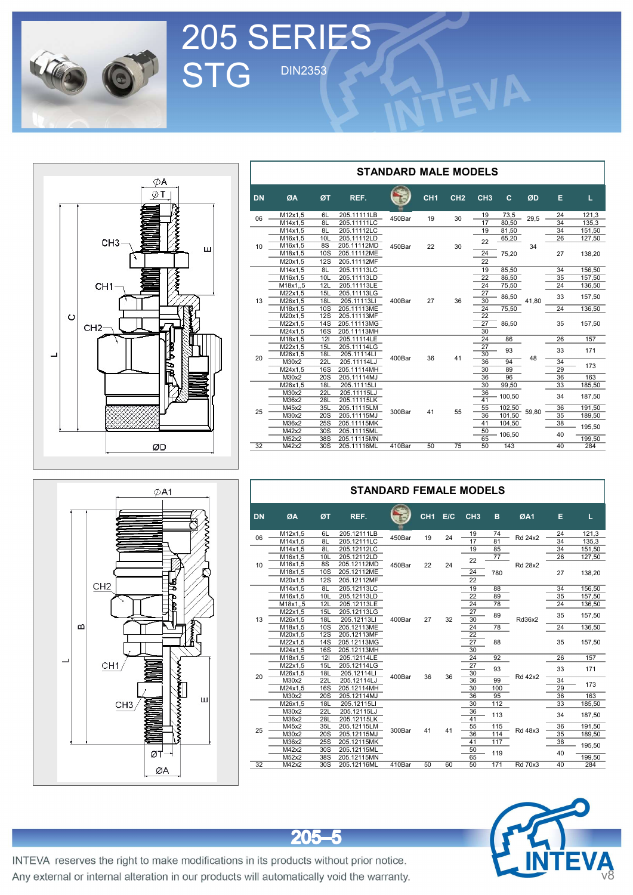

205 SERIES

STG DIN2353



|           | <b>SERIES</b>                 |                          |                                           |                             |                 |                 |                             |                                     |         |                |                          |  |
|-----------|-------------------------------|--------------------------|-------------------------------------------|-----------------------------|-----------------|-----------------|-----------------------------|-------------------------------------|---------|----------------|--------------------------|--|
|           | <b>DIN2353</b>                |                          |                                           |                             |                 |                 |                             |                                     |         |                |                          |  |
|           |                               |                          |                                           |                             |                 |                 |                             |                                     |         |                |                          |  |
|           |                               |                          |                                           |                             |                 |                 |                             |                                     |         |                |                          |  |
|           |                               |                          |                                           |                             |                 |                 |                             |                                     |         |                |                          |  |
|           |                               |                          |                                           | <b>STANDARD MALE MODELS</b> |                 |                 |                             |                                     |         |                |                          |  |
| <b>DN</b> | ØA                            | ØТ                       | REF.                                      |                             | CH <sub>1</sub> | CH <sub>2</sub> | CH <sub>3</sub>             | c.                                  | ØD      | Е.             | L.                       |  |
| 06        | M12x1,5<br>M14x1,5<br>M14x1,5 | 6L<br>8L<br>8L           | 205.11111LB<br>205.11111LC<br>205.11112LC | 450Bar                      | 19              | 30              | 19<br>17<br>19              | 73,5<br>80,50<br>81,50              | 29,5    | 24<br>34<br>34 | 121,3<br>135,3<br>151,50 |  |
| 10        | M16x1,5<br>M16x1,5<br>M18x1,5 | 10L<br>8S<br>10S         | 205.11112LD<br>205.11112MD<br>205.11112ME | 450Bar                      | 22              | 30              | 22<br>$\overline{24}$       | 65,20<br>75,20                      | 34      | 26<br>27       | 127,50<br>138,20         |  |
|           | M20x1,5<br>M14x1,5<br>M16x1,5 | 12S<br>8L<br>10L         | 205.11112MF<br>205.11113LC<br>205.11113LD |                             |                 |                 | 22<br>19<br>$\overline{22}$ | 85,50<br>86,50                      |         | 34<br>35       | 156,50<br>157,50         |  |
|           | M18x1,,5<br>M22x1,5           | 12L<br>15L               | 205.11113LE<br>205.11113LG                |                             | 27              |                 | 24<br>27<br>30              | 75,50<br>86,50                      |         | 24<br>33       | 136,50<br>157,50         |  |
| 13        | M26x1,5<br>M18x1,5<br>M20x1,5 | 18L<br>10S<br>12S        | 205.11113LI<br>205.11113ME<br>205.11113MF | 400Bar                      |                 | 36              | 24<br>22                    | 75,50                               | 41,80   | 24             | 136,50                   |  |
|           | M22x1,5<br>M24x1,5<br>M18x1,5 | 14S<br>16S<br>121        | 205.11113MG<br>205.11113MH<br>205.11114LE |                             |                 |                 | 27<br>30<br>24              | 86,50<br>86                         |         | 35<br>26       | 157,50<br>157            |  |
| 20        | M22x1,5<br>M26x1,5<br>M30x2   | 15L<br>18L<br>22L        | 205.11114LG<br>205.11114LI<br>205.11114LJ | 400Bar                      | 36              | 41              | $\overline{27}$<br>30<br>36 | 93<br>94                            | 48      | 33<br>34       | 171<br>173               |  |
|           | M24x1,5<br>M30x2<br>M26x1,5   | 16S<br>20S<br><b>18L</b> | 205.11114MH<br>205.11114MJ<br>205.11115LI |                             |                 |                 | 30<br>$\overline{36}$<br>30 | 89<br>96<br>99,50                   |         | 29<br>36<br>33 | 163<br>185,50            |  |
| 25        | M30x2<br>M36x2<br>M45x2       | 22L<br>28L<br>35L        | 205.11115LJ<br>205.11115LK<br>205.11115LM | 300Bar                      | 41              | 55              | 36<br>41<br>55              | 100,50<br>$\frac{102,50}{10}$ 59,80 |         | 34<br>36       | 187,50<br>191,50         |  |
|           | M30x2<br>M36x2<br>M42x2       | 20S<br>25S<br>30S        | 205.11115MJ<br>205.11115MK<br>205.11115ML |                             |                 |                 | 36<br>41<br>50              | 101,50<br>104,50<br>106,50          |         | 35<br>38<br>40 | 189,50<br>195,50         |  |
| 32        | M52x2<br>M42x2                | 38S<br>30S               | 205.11115MN<br>205.11116ML                | 410Bar                      | 50              | 75              | 65<br>50                    | 143                                 |         | 40             | 199,50<br>284            |  |
|           |                               |                          |                                           |                             |                 |                 |                             |                                     |         |                |                          |  |
|           |                               |                          | <b>STANDARD FEMALE MODELS</b>             |                             |                 |                 |                             |                                     |         |                |                          |  |
| <b>DN</b> | ØA                            | ØT                       | REF.                                      |                             | CH1 E/C         |                 | CH <sub>3</sub>             | B                                   | ØA1     | E.             | L.                       |  |
| 06        | M12x1,5<br>M14x1,5            | 6L<br>8L                 | 205.12111LB<br>205.12111LC                | 450Bar                      | 19              | 24              | 19<br>17                    | 74<br>81                            | Rd 24x2 | 24<br>34       | 121,3<br>135,3           |  |
| 10        | M14x1,5<br>M16x1,5<br>M16x1,5 | 8L<br>10L<br>8S          | 205.12112LC<br>205.12112LD<br>205.12112MD | 450Bar                      | 22              | 24              | 19<br>22                    | 85<br>77                            | Rd 28x2 | 34<br>26       | 151,50<br>127,50         |  |
|           | M18x1,5<br>M20x1,5            | 10S<br>12S               | 205.12112ME<br>205.12112MF                |                             |                 |                 | $\overline{24}$<br>22       | 780                                 |         | 27             | 138,20                   |  |

|        | ØA1                                                                                       |
|--------|-------------------------------------------------------------------------------------------|
| m<br>┙ | CH2<br>Ĩ<br>CH1<br>È<br>Ш<br><b>MANANTA</b><br>CH3<br>$\frac{\varnothing}{\varnothing A}$ |

|           |                |            | <b>STANDARD FEMALE MODELS</b> |              |                 |     |                       |                 |                |        |        |
|-----------|----------------|------------|-------------------------------|--------------|-----------------|-----|-----------------------|-----------------|----------------|--------|--------|
| <b>DN</b> | ØA             | ØT         | REF.                          |              | CH <sub>1</sub> | E/C | CH <sub>3</sub>       | B               | ØA1            | Е      | L      |
| 06        | M12x1,5        | 6L         | 205.12111LB                   | 450Bar       | 19              | 24  | 19                    | 74              | Rd 24x2        | 24     | 121,3  |
|           | M14x1.5        | 8L         | 205.12111LC                   |              |                 |     | 17                    | 81              |                | 34     | 135,3  |
|           | M14x1,5        | 8L         | 205.12112LC                   |              |                 |     | 19                    | 85              |                | 34     | 151,50 |
|           | M16x1,5        | 10L        | 205.12112LD                   |              |                 |     | 22                    | $\overline{77}$ |                | 26     | 127,50 |
| 10        | M16x1,5        | 8S         | 205.12112MD                   | 450Bar       | 22              | 24  |                       |                 | <b>Rd 28x2</b> |        |        |
|           | M18x1,5        | 10S        | 205.12112ME                   |              | 24<br>780       |     | 27                    | 138,20          |                |        |        |
|           | M20x1,5        | 12S        | 205.12112MF                   |              |                 |     | 22                    |                 |                |        |        |
|           | M14x1,5        | 8L         | 205.12113LC                   |              |                 |     | 19                    | 88              |                | 34     | 156,50 |
|           | M16x1,5        | 10L        | 205.12113LD                   |              |                 |     | $\overline{22}$       | 89              |                | 35     | 157,50 |
|           | M18x1.,5       | 12L        | 205.12113LE                   | 27<br>400Bar |                 |     | 24                    | 78              |                | 24     | 136,50 |
|           | M22x1,5        | 15L        | 205.12113LG                   |              |                 |     | 27                    | 89              |                | 35     | 157,50 |
| 13        | M26x1,5        | <b>18L</b> | 205.12113LI                   |              |                 | 32  | 30                    |                 | Rd36x2         |        |        |
|           | M18x1,5        | 10S        | 205.12113ME                   |              |                 | 24  | 78                    |                 | 24             | 136,50 |        |
|           | M20x1,5        | 12S        | 205.12113MF                   |              |                 |     | $\overline{22}$       |                 |                |        |        |
|           | M22x1,5        | 14S        | 205.12113MG                   |              |                 |     | $\overline{27}$       | 88              |                | 35     | 157,50 |
|           | M24x1,5        | 16S        | 205.12113MH                   |              |                 |     | $\overline{30}$       |                 |                |        |        |
|           | M18x1,5        | 121        | 205.12114LE                   |              |                 |     | 24                    | 92              |                | 26     | 157    |
|           | M22x1,5        | 15L        | 205.12114LG                   |              |                 |     | 27                    | 93              |                | 33     | 171    |
| 20        | M26x1,5        | <b>18L</b> | 205.12114LI                   | 400Bar       | 36              | 36  | 30                    |                 | <b>Rd 42x2</b> |        |        |
|           | M30x2          | 22L        | 205.12114LJ                   |              |                 |     | $\overline{36}$       | 99              |                | 34     | 173    |
|           | M24x1,5        | 16S        | 205.12114MH                   |              |                 |     | 30                    | 100             |                | 29     |        |
|           | M30x2          | 20S        | 205.12114MJ                   |              |                 |     | 36                    | 95              |                | 36     | 163    |
|           | M26x1,5        | <b>18L</b> | 205.12115LI                   |              |                 |     | 30                    | 112             |                | 33     | 185,50 |
|           | M30x2<br>M36x2 | 22L<br>28L | 205.12115LJ<br>205.12115LK    |              |                 |     | 36<br>$\overline{41}$ | 113             |                | 34     | 187,50 |
|           |                | 35L        |                               |              |                 |     |                       | 115             |                | 36     | 191,50 |
| 25        | M45x2          | 20S        | 205.12115LM<br>205.12115MJ    | 300Bar       | 41              | 41  | 55<br>36              | 114             | Rd 48x3        | 35     |        |
|           | M30x2<br>M36x2 | 25S        | 205.12115MK                   |              |                 |     | 41                    | 117             |                | 38     | 189,50 |
|           | M42x2          | 30S        | 205.12115ML                   |              |                 |     | 50                    |                 |                |        | 195,50 |
|           | M52x2          | 38S        | 205.12115MN                   |              |                 |     | 65                    | 119             |                | 40     | 199,50 |
| 32        | M42x2          | 30S        | 205.12116ML                   | 410Bar       | 50              | 60  | 50                    | 171             | <b>Rd 70x3</b> | 40     | 284    |
|           |                |            |                               |              |                 |     |                       |                 |                |        |        |



INTEVA reserves the right to make modifications in its products without prior notice. Any external or internal alteration in our products will automatically void the warranty.

 $205 - 5$